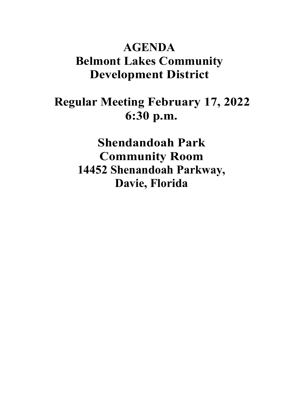### **AGENDA Belmont Lakes Community Development District**

## **Regular Meeting February 17, 2022 6:30 p.m.**

**Shendandoah Park Community Room 14452 Shenandoah Parkway, Davie, Florida**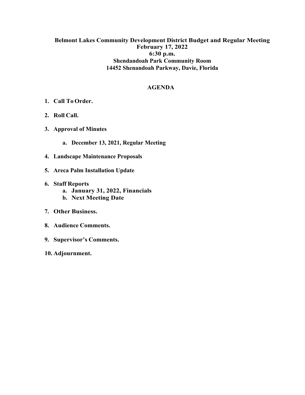#### **Belmont Lakes Community Development District Budget and Regular Meeting February 17, 2022 6:30 p.m. Shendandoah Park Community Room 14452 Shenandoah Parkway, Davie, Florida**

#### **AGENDA**

- **1. Call To Order.**
- **2. Roll Call.**
- **3. Approval of Minutes**
	- **a. December 13, 2021, Regular Meeting**
- **4. Landscape Maintenance Proposals**
- **5. Areca Palm Installation Update**
- **6. Staff Reports**
	- **a. January 31, 2022, Financials**
	- **b. Next Meeting Date**
- **7. Other Business.**
- **8. Audience Comments.**
- **9. Supervisor's Comments.**
- **10. Adjournment.**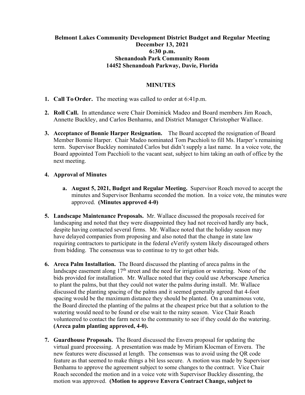#### **Belmont Lakes Community Development District Budget and Regular Meeting December 13, 2021 6:30 p.m. Shenandoah Park Community Room 14452 Shenandoah Parkway, Davie, Florida**

#### **MINUTES**

- **1. Call To Order.** The meeting was called to order at 6:41p.m.
- **2. Roll Call.** In attendance were Chair Dominick Madeo and Board members Jim Roach, Annette Buckley, and Carlos Benhamu, and District Manager Christopher Wallace.
- **3. Acceptance of Bonnie Harper Resignation.** The Board accepted the resignation of Board Member Bonnie Harper. Chair Madeo nominated Tom Pacchioli to fill Ms. Harper's remaining term. Supervisor Buckley nominated Carlos but didn't supply a last name. In a voice vote, the Board appointed Tom Pacchioli to the vacant seat, subject to him taking an oath of office by the next meeting.

#### **4. Approval of Minutes**

- **a. August 5, 2021, Budget and Regular Meeting.** Supervisor Roach moved to accept the minutes and Supervisor Benhamu seconded the motion. In a voice vote, the minutes were approved. **(Minutes approved 4-0)**
- **5. Landscape Maintenance Proposals.** Mr. Wallace discussed the proposals received for landscaping and noted that they were disappointed they had not received hardly any back, despite having contacted several firms. Mr. Wallace noted that the holiday season may have delayed companies from proposing and also noted that the change in state law requiring contractors to participate in the federal eVerify system likely discouraged others from bidding. The consensus was to continue to try to get other bids.
- **6. Areca Palm Installation.** The Board discussed the planting of areca palms in the landscape easement along  $17<sup>th</sup>$  street and the need for irrigation or watering. None of the bids provided for installation. Mr. Wallace noted that they could use Arborscape America to plant the palms, but that they could not water the palms during install. Mr. Wallace discussed the planting spacing of the palms and it seemed generally agreed that 4-foot spacing would be the maximum distance they should be planted. On a unamimous vote, the Board directed the planting of the palms at the cheapest price but that a solution to the watering would need to be found or else wait to the rainy season. Vice Chair Roach volunteered to contact the farm next to the community to see if they could do the watering. **(Areca palm planting approved, 4-0).**
- **7. Guardhouse Proposals.** The Board discussed the Envera proposal for updating the virtual guard processing. A presentation was made by Miriam Klocman of Envera. The new features were discussed at length. The consensus was to avoid using the QR code feature as that seemed to make things a bit less secure. A motion was made by Supervisor Benhamu to approve the agreement subject to some changes to the contract. Vice Chair Roach seconded the motion and in a voice vote with Supervisor Buckley dissenting, the motion was approved. **(Motion to approve Envera Contract Change, subject to**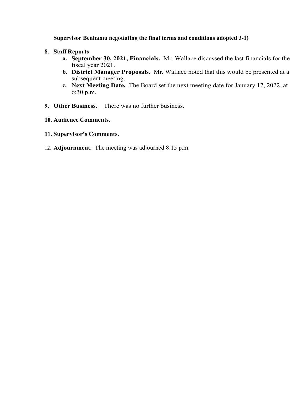#### **Supervisor Benhamu negotiating the final terms and conditions adopted 3-1)**

#### **8. Staff Reports**

- **a. September 30, 2021, Financials.** Mr. Wallace discussed the last financials for the fiscal year 2021.
- **b. District Manager Proposals.** Mr. Wallace noted that this would be presented at a subsequent meeting.
- **c. Next Meeting Date.** The Board set the next meeting date for January 17, 2022, at 6:30 p.m.
- **9. Other Business.** There was no further business.
- **10. Audience Comments.**
- **11. Supervisor's Comments.**
- 12. **Adjournment.** The meeting was adjourned 8:15 p.m.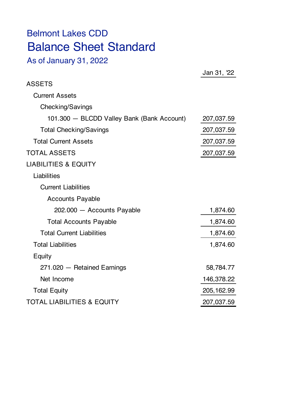# Belmont Lakes CDD Balance Sheet Standard

As of January 31, 2022

|                                            | Jan 31, 22  |
|--------------------------------------------|-------------|
| <b>ASSETS</b>                              |             |
| <b>Current Assets</b>                      |             |
| Checking/Savings                           |             |
| 101.300 - BLCDD Valley Bank (Bank Account) | 207,037.59  |
| <b>Total Checking/Savings</b>              | 207,037.59  |
| <b>Total Current Assets</b>                | 207,037.59  |
| <b>TOTAL ASSETS</b>                        | 207,037.59  |
| <b>LIABILITIES &amp; EQUITY</b>            |             |
| Liabilities                                |             |
| <b>Current Liabilities</b>                 |             |
| <b>Accounts Payable</b>                    |             |
| 202.000 - Accounts Payable                 | 1,874.60    |
| <b>Total Accounts Payable</b>              | 1,874.60    |
| <b>Total Current Liabilities</b>           | 1,874.60    |
| <b>Total Liabilities</b>                   | 1,874.60    |
| Equity                                     |             |
| 271.020 - Retained Earnings                | 58,784.77   |
| Net Income                                 | 146,378.22  |
| <b>Total Equity</b>                        | 205, 162.99 |
| <b>TOTAL LIABILITIES &amp; EQUITY</b>      | 207,037.59  |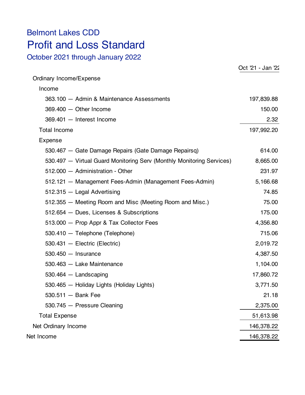### Belmont Lakes CDD Profit and Loss Standard

October 2021 through January 2022

|                                                                       | Oct '21 - Jan '22 |
|-----------------------------------------------------------------------|-------------------|
| Ordinary Income/Expense                                               |                   |
| Income                                                                |                   |
| 363.100 - Admin & Maintenance Assessments                             | 197,839.88        |
| $369.400 - Other Income$                                              | 150.00            |
| 369.401 - Interest Income                                             | 2.32              |
| <b>Total Income</b>                                                   | 197,992.20        |
| Expense                                                               |                   |
| 530.467 - Gate Damage Repairs (Gate Damage Repairsq)                  | 614.00            |
| 530.497 - Virtual Guard Monitoring Serv (Monthly Monitoring Services) | 8,665.00          |
| 512.000 - Administration - Other                                      | 231.97            |
| 512.121 - Management Fees-Admin (Management Fees-Admin)               | 5,166.68          |
| $512.315 -$ Legal Advertising                                         | 74.85             |
| 512.355 – Meeting Room and Misc (Meeting Room and Misc.)              | 75.00             |
| 512.654 - Dues, Licenses & Subscriptions                              | 175.00            |
| 513.000 - Prop Appr & Tax Collector Fees                              | 4,356.80          |
| 530.410 - Telephone (Telephone)                                       | 715.06            |
| 530.431 - Electric (Electric)                                         | 2,019.72          |
| $530.450 -$ Insurance                                                 | 4,387.50          |
| 530.463 - Lake Maintenance                                            | 1,104.00          |
| $530.464 -$ Landscaping                                               | 17,860.72         |
| 530.465 - Holiday Lights (Holiday Lights)                             | 3,771.50          |
| $530.511 -$ Bank Fee                                                  | 21.18             |
| 530.745 - Pressure Cleaning                                           | 2,375.00          |
| <b>Total Expense</b>                                                  | 51,613.98         |
| Net Ordinary Income                                                   | 146,378.22        |
| Net Income                                                            | 146,378.22        |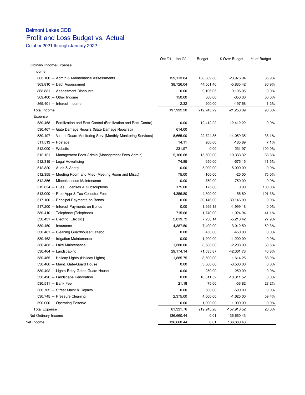### Belmont Lakes CDD Profit and Loss Budget vs. Actual

October 2021 through January 2022

|                                                                          | Oct '21 - Jan '22 | Budget      | \$ Over Budget | % of Budget |
|--------------------------------------------------------------------------|-------------------|-------------|----------------|-------------|
| Ordinary Income/Expense                                                  |                   |             |                |             |
| Income                                                                   |                   |             |                |             |
| 363.100 - Admin & Maintenance Assessments                                | 159,113.84        | 183,089.88  | $-23,976.04$   | 86.9%       |
| 363.810 - Debt Assessment                                                | 38,726.04         | 44,561.46   | $-5,835.42$    | 86.9%       |
| 363.831 - Assessment Discounts                                           | 0.00              | $-9,106.05$ | 9,106.05       | 0.0%        |
| 369.400 - Other Income                                                   | 150.00            | 500.00      | $-350.00$      | 30.0%       |
| 369.401 - Interest Income                                                | 2.32              | 200.00      | $-197.68$      | 1.2%        |
| <b>Total Income</b>                                                      | 197,992.20        | 219,245.29  | $-21,253.09$   | 90.3%       |
| Expense                                                                  |                   |             |                |             |
| 530.468 - Fertilization and Pest Control (Fertilization and Pest Contro) | 0.00              | 12,412.22   | $-12,412.22$   | 0.0%        |
| 530.467 - Gate Damage Repairs (Gate Damage Repairsq)                     | 614.00            |             |                |             |
| 530.497 - Virtual Guard Monitoring Serv (Monthly Monitoring Services)    | 8,665.00          | 22,724.35   | $-14,059.35$   | 38.1%       |
| $511.513 - Postage$                                                      | 14.11             | 200.00      | $-185.89$      | 7.1%        |
| $512.000 -$ Website                                                      | 231.97            | 0.00        | 231.97         | 100.0%      |
| 512.121 - Management Fees-Admin (Management Fees-Admin)                  | 5,166.68          | 15,500.00   | $-10,333.32$   | 33.3%       |
| 512.315 - Legal Advertising                                              | 74.85             | 650.00      | $-575.15$      | 11.5%       |
| 512.320 - Audit & Acctg                                                  | 0.00              | 5,000.00    | $-5,000.00$    | 0.0%        |
| 512.355 - Meeting Room and Misc (Meeting Room and Misc.)                 | 75.00             | 100.00      | $-25.00$       | 75.0%       |
| 512.356 - Miscellaneous Maintenance                                      | 0.00              | 750.00      | $-750.00$      | 0.0%        |
| 512.654 - Dues, Licenses & Subscriptions                                 | 175.00            | 175.00      | 0.00           | 100.0%      |
| 513.000 - Prop Appr & Tax Collector Fees                                 | 4,356.80          | 4,300.00    | 56.80          | 101.3%      |
| 517.100 - Principal Payments on Bonds                                    | 0.00              | 39,146.00   | $-39,146.00$   | 0.0%        |
| 517.200 - Interest Payments on Bonds                                     | 0.00              | 1,999.18    | $-1,999.18$    | 0.0%        |
| 530.410 - Telephone (Telephone)                                          | 715.06            | 1,740.00    | $-1,024.94$    | 41.1%       |
| 530.431 - Electric (Electric)                                            | 2,019.72          | 7,238.14    | $-5,218.42$    | 27.9%       |
| $530.450 -$ Insurance                                                    | 4,387.50          | 7,400.00    | $-3,012.50$    | 59.3%       |
| 530.461 - Cleaning Guardhouse/Gazebo                                     | 0.00              | 450.00      | $-450.00$      | 0.0%        |
| 530.462 - Irrigation Maintenance                                         | 0.00              | 1,200.00    | $-1,200.00$    | 0.0%        |
| 530.463 - Lake Maintenance                                               | 1,380.00          | 3,588.00    | $-2,208.00$    | 38.5%       |
| $530.464 -$ Landscaping                                                  | 29, 174. 14       | 71,535.87   | $-42,361.73$   | 40.8%       |
| 530.465 - Holiday Lights (Holiday Lights)                                | 1,885.75          | 3,500.00    | $-1,614.25$    | 53.9%       |
| 530.466 - Maint. Gate-Guard House                                        | 0.00              | 3,500.00    | $-3,500.00$    | 0.0%        |
| 530.492 - Lights-Entry Gates Guard House                                 | 0.00              | 250.00      | $-250.00$      | 0.0%        |
| 530.496 - Landscape Renovation                                           | 0.00              | 10,311.52   | $-10,311.52$   | 0.0%        |
| 530.511 - Bank Fee                                                       | 21.18             | 75.00       | $-53.82$       | 28.2%       |
| 530.702 - Street Maint & Repairs                                         | 0.00              | 500.00      | $-500.00$      | 0.0%        |
| 530.745 - Pressure Cleaning                                              | 2,375.00          | 4,000.00    | $-1,625.00$    | 59.4%       |
| 590.000 - Operating Reserve                                              | 0.00              | 1,000.00    | $-1,000.00$    | 0.0%        |
| <b>Total Expense</b>                                                     | 61,331.76         | 219,245.28  | -157,913.52    | 28.0%       |
| Net Ordinary Income                                                      | 136,660.44        | 0.01        | 136,660.43     |             |
| Net Income                                                               | 136,660.44        | 0.01        | 136,660.43     |             |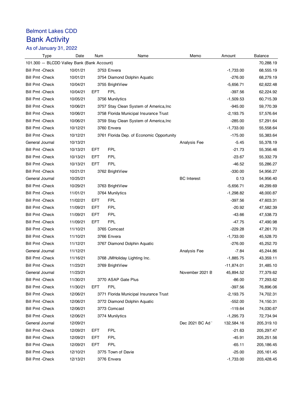### Belmont Lakes CDD Bank Activity

As of January 31, 2022

| <b>Type</b>                                | Date     | Num | Name                                      | Memo               | Amount       | Balance     |
|--------------------------------------------|----------|-----|-------------------------------------------|--------------------|--------------|-------------|
| 101.300 - BLCDD Valley Bank (Bank Account) |          |     |                                           |                    |              | 70,288.19   |
| <b>Bill Pmt - Check</b>                    | 10/01/21 |     | 3753 Envera                               |                    | $-1,733.00$  | 68,555.19   |
| <b>Bill Pmt - Check</b>                    | 10/01/21 |     | 3754 Diamond Dolphin Aquatic              |                    | $-276.00$    | 68,279.19   |
| <b>Bill Pmt - Check</b>                    | 10/04/21 |     | 3755 BrightView                           |                    | $-5,656.71$  | 62,622.48   |
| <b>Bill Pmt - Check</b>                    | 10/04/21 | EFT | <b>FPL</b>                                |                    | $-397.56$    | 62,224.92   |
| <b>Bill Pmt - Check</b>                    | 10/05/21 |     | 3756 Munilytics                           |                    | $-1,509.53$  | 60,715.39   |
| <b>Bill Pmt - Check</b>                    | 10/06/21 |     | 3757 Stay Clean System of America, Inc.   |                    | $-945.00$    | 59,770.39   |
| <b>Bill Pmt - Check</b>                    | 10/06/21 |     | 3758 Florida Municipal Insurance Trust    |                    | $-2,193.75$  | 57,576.64   |
| <b>Bill Pmt - Check</b>                    | 10/06/21 |     | 3759 Stay Clean System of America, Inc.   |                    | $-285.00$    | 57,291.64   |
| Bill Pmt - Check                           | 10/12/21 |     | 3760 Envera                               |                    | $-1,733.00$  | 55,558.64   |
| <b>Bill Pmt - Check</b>                    | 10/12/21 |     | 3761 Florida Dep. of Economic Opportunity |                    | $-175.00$    | 55,383.64   |
| General Journal                            | 10/13/21 |     |                                           | Analysis Fee       | $-5.45$      | 55,378.19   |
| <b>Bill Pmt - Check</b>                    | 10/13/21 | EFT | <b>FPL</b>                                |                    | $-21.73$     | 55,356.46   |
| <b>Bill Pmt - Check</b>                    | 10/13/21 | EFT | <b>FPL</b>                                |                    | $-23.67$     | 55,332.79   |
| <b>Bill Pmt - Check</b>                    | 10/13/21 | EFT | <b>FPL</b>                                |                    | $-46.52$     | 55,286.27   |
| <b>Bill Pmt - Check</b>                    | 10/21/21 |     | 3762 BrightView                           |                    | $-330.00$    | 54,956.27   |
| General Journal                            | 10/25/21 |     |                                           | <b>BC</b> Interest | 0.13         | 54,956.40   |
| <b>Bill Pmt - Check</b>                    | 10/29/21 |     | 3763 BrightView                           |                    | $-5,656.71$  | 49,299.69   |
| <b>Bill Pmt - Check</b>                    | 11/01/21 |     | 3764 Munilytics                           |                    | $-1,298.82$  | 48,000.87   |
| <b>Bill Pmt - Check</b>                    | 11/02/21 | EFT | <b>FPL</b>                                |                    | $-397.56$    | 47,603.31   |
| <b>Bill Pmt - Check</b>                    | 11/09/21 | EFT | <b>FPL</b>                                |                    | $-20.92$     | 47,582.39   |
| <b>Bill Pmt - Check</b>                    | 11/09/21 | EFT | <b>FPL</b>                                |                    | $-43.66$     | 47,538.73   |
| <b>Bill Pmt - Check</b>                    | 11/09/21 | EFT | <b>FPL</b>                                |                    | $-47.75$     | 47,490.98   |
| <b>Bill Pmt - Check</b>                    | 11/10/21 |     | 3765 Comcast                              |                    | $-229.28$    | 47,261.70   |
| <b>Bill Pmt - Check</b>                    | 11/10/21 |     | 3766 Envera                               |                    | $-1,733.00$  | 45,528.70   |
| <b>Bill Pmt - Check</b>                    | 11/12/21 |     | 3767 Diamond Dolphin Aquatic              |                    | $-276.00$    | 45,252.70   |
| General Journal                            | 11/12/21 |     |                                           | Analysis Fee       | -7.84        | 45,244.86   |
| <b>Bill Pmt - Check</b>                    | 11/16/21 |     | 3768 JMHoliday Lighting Inc.              |                    | $-1,885.75$  | 43,359.11   |
| <b>Bill Pmt - Check</b>                    | 11/23/21 |     | 3769 BrightView                           |                    | $-11,874.01$ | 31,485.10   |
| General Journal                            | 11/23/21 |     |                                           | November 2021 B    | 45,894.52    | 77,379.62   |
| <b>Bill Pmt - Check</b>                    | 11/30/21 |     | 3770 ASAP Gate Plus                       |                    | $-86.00$     | 77,293.62   |
| <b>Bill Pmt - Check</b>                    | 11/30/21 | EFT | <b>FPL</b>                                |                    | $-397.56$    | 76,896.06   |
| <b>Bill Pmt - Check</b>                    | 12/06/21 |     | 3771 Florida Municipal Insurance Trust    |                    | $-2,193.75$  | 74,702.31   |
| <b>Bill Pmt - Check</b>                    | 12/06/21 |     | 3772 Diamond Dolphin Aquatic              |                    | -552.00      | 74,150.31   |
| <b>Bill Pmt - Check</b>                    | 12/06/21 |     | 3773 Comcast                              |                    | $-119.64$    | 74,030.67   |
| <b>Bill Pmt - Check</b>                    | 12/06/21 |     | 3774 Munilytics                           |                    | $-1,295.73$  | 72,734.94   |
| General Journal                            | 12/09/21 |     |                                           | Dec 2021 BC Ad'    | 132,584.16   | 205,319.10  |
| <b>Bill Pmt - Check</b>                    | 12/09/21 | EFT | <b>FPL</b>                                |                    | $-21.63$     | 205,297.47  |
| <b>Bill Pmt - Check</b>                    | 12/09/21 | EFT | <b>FPL</b>                                |                    | -45.91       | 205,251.56  |
| <b>Bill Pmt - Check</b>                    | 12/09/21 | EFT | <b>FPL</b>                                |                    | $-65.11$     | 205, 186.45 |
| <b>Bill Pmt - Check</b>                    | 12/10/21 |     | 3775 Town of Davie                        |                    | $-25.00$     | 205, 161.45 |
| <b>Bill Pmt - Check</b>                    | 12/13/21 |     | 3776 Envera                               |                    | $-1,733.00$  | 203,428.45  |